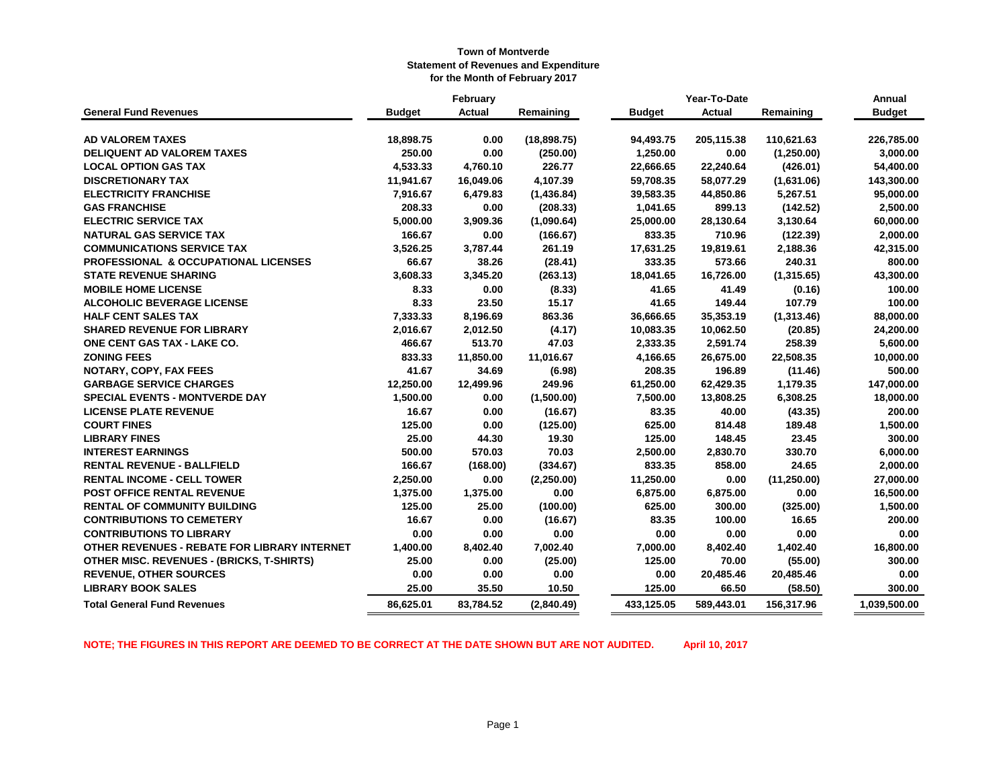|                                                  | Year-To-Date<br>February |               |             | Annual        |               |              |               |
|--------------------------------------------------|--------------------------|---------------|-------------|---------------|---------------|--------------|---------------|
| <b>General Fund Revenues</b>                     | <b>Budget</b>            | <b>Actual</b> | Remaining   | <b>Budget</b> | <b>Actual</b> | Remaining    | <b>Budget</b> |
|                                                  |                          |               |             |               |               |              |               |
| <b>AD VALOREM TAXES</b>                          | 18,898.75                | 0.00          | (18,898.75) | 94,493.75     | 205,115.38    | 110,621.63   | 226,785.00    |
| <b>DELIQUENT AD VALOREM TAXES</b>                | 250.00                   | 0.00          | (250.00)    | 1,250.00      | 0.00          | (1,250.00)   | 3,000.00      |
| <b>LOCAL OPTION GAS TAX</b>                      | 4,533.33                 | 4,760.10      | 226.77      | 22,666.65     | 22,240.64     | (426.01)     | 54,400.00     |
| <b>DISCRETIONARY TAX</b>                         | 11,941.67                | 16,049.06     | 4,107.39    | 59,708.35     | 58,077.29     | (1,631.06)   | 143,300.00    |
| <b>ELECTRICITY FRANCHISE</b>                     | 7,916.67                 | 6,479.83      | (1,436.84)  | 39,583.35     | 44,850.86     | 5,267.51     | 95,000.00     |
| <b>GAS FRANCHISE</b>                             | 208.33                   | 0.00          | (208.33)    | 1,041.65      | 899.13        | (142.52)     | 2,500.00      |
| <b>ELECTRIC SERVICE TAX</b>                      | 5,000.00                 | 3,909.36      | (1,090.64)  | 25,000.00     | 28,130.64     | 3,130.64     | 60,000.00     |
| <b>NATURAL GAS SERVICE TAX</b>                   | 166.67                   | 0.00          | (166.67)    | 833.35        | 710.96        | (122.39)     | 2,000.00      |
| <b>COMMUNICATIONS SERVICE TAX</b>                | 3,526.25                 | 3,787.44      | 261.19      | 17,631.25     | 19,819.61     | 2,188.36     | 42,315.00     |
| <b>PROFESSIONAL &amp; OCCUPATIONAL LICENSES</b>  | 66.67                    | 38.26         | (28.41)     | 333.35        | 573.66        | 240.31       | 800.00        |
| <b>STATE REVENUE SHARING</b>                     | 3,608.33                 | 3,345.20      | (263.13)    | 18,041.65     | 16,726.00     | (1,315.65)   | 43,300.00     |
| <b>MOBILE HOME LICENSE</b>                       | 8.33                     | 0.00          | (8.33)      | 41.65         | 41.49         | (0.16)       | 100.00        |
| <b>ALCOHOLIC BEVERAGE LICENSE</b>                | 8.33                     | 23.50         | 15.17       | 41.65         | 149.44        | 107.79       | 100.00        |
| <b>HALF CENT SALES TAX</b>                       | 7,333.33                 | 8,196.69      | 863.36      | 36,666.65     | 35,353.19     | (1,313.46)   | 88,000.00     |
| <b>SHARED REVENUE FOR LIBRARY</b>                | 2,016.67                 | 2,012.50      | (4.17)      | 10,083.35     | 10,062.50     | (20.85)      | 24,200.00     |
| ONE CENT GAS TAX - LAKE CO.                      | 466.67                   | 513.70        | 47.03       | 2,333.35      | 2,591.74      | 258.39       | 5,600.00      |
| <b>ZONING FEES</b>                               | 833.33                   | 11,850.00     | 11,016.67   | 4,166.65      | 26,675.00     | 22,508.35    | 10,000.00     |
| NOTARY, COPY, FAX FEES                           | 41.67                    | 34.69         | (6.98)      | 208.35        | 196.89        | (11.46)      | 500.00        |
| <b>GARBAGE SERVICE CHARGES</b>                   | 12,250.00                | 12,499.96     | 249.96      | 61,250.00     | 62,429.35     | 1,179.35     | 147,000.00    |
| <b>SPECIAL EVENTS - MONTVERDE DAY</b>            | 1,500.00                 | 0.00          | (1,500.00)  | 7,500.00      | 13,808.25     | 6,308.25     | 18,000.00     |
| <b>LICENSE PLATE REVENUE</b>                     | 16.67                    | 0.00          | (16.67)     | 83.35         | 40.00         | (43.35)      | 200.00        |
| <b>COURT FINES</b>                               | 125.00                   | 0.00          | (125.00)    | 625.00        | 814.48        | 189.48       | 1,500.00      |
| <b>LIBRARY FINES</b>                             | 25.00                    | 44.30         | 19.30       | 125.00        | 148.45        | 23.45        | 300.00        |
| <b>INTEREST EARNINGS</b>                         | 500.00                   | 570.03        | 70.03       | 2,500.00      | 2,830.70      | 330.70       | 6,000.00      |
| <b>RENTAL REVENUE - BALLFIELD</b>                | 166.67                   | (168.00)      | (334.67)    | 833.35        | 858.00        | 24.65        | 2,000.00      |
| <b>RENTAL INCOME - CELL TOWER</b>                | 2,250.00                 | 0.00          | (2,250.00)  | 11,250.00     | 0.00          | (11, 250.00) | 27,000.00     |
| POST OFFICE RENTAL REVENUE                       | 1,375.00                 | 1,375.00      | 0.00        | 6,875.00      | 6,875.00      | 0.00         | 16,500.00     |
| <b>RENTAL OF COMMUNITY BUILDING</b>              | 125.00                   | 25.00         | (100.00)    | 625.00        | 300.00        | (325.00)     | 1,500.00      |
| <b>CONTRIBUTIONS TO CEMETERY</b>                 | 16.67                    | 0.00          | (16.67)     | 83.35         | 100.00        | 16.65        | 200.00        |
| <b>CONTRIBUTIONS TO LIBRARY</b>                  | 0.00                     | 0.00          | 0.00        | 0.00          | 0.00          | 0.00         | 0.00          |
| OTHER REVENUES - REBATE FOR LIBRARY INTERNET     | 1,400.00                 | 8,402.40      | 7,002.40    | 7,000.00      | 8,402.40      | 1,402.40     | 16,800.00     |
| <b>OTHER MISC. REVENUES - (BRICKS, T-SHIRTS)</b> | 25.00                    | 0.00          | (25.00)     | 125.00        | 70.00         | (55.00)      | 300.00        |
| <b>REVENUE, OTHER SOURCES</b>                    | 0.00                     | 0.00          | 0.00        | 0.00          | 20,485.46     | 20,485.46    | 0.00          |
| <b>LIBRARY BOOK SALES</b>                        | 25.00                    | 35.50         | 10.50       | 125.00        | 66.50         | (58.50)      | 300.00        |
| <b>Total General Fund Revenues</b>               | 86,625.01                | 83,784.52     | (2,840.49)  | 433,125.05    | 589.443.01    | 156,317.96   | 1,039,500.00  |

**NOTE; THE FIGURES IN THIS REPORT ARE DEEMED TO BE CORRECT AT THE DATE SHOWN BUT ARE NOT AUDITED. April 10, 2017**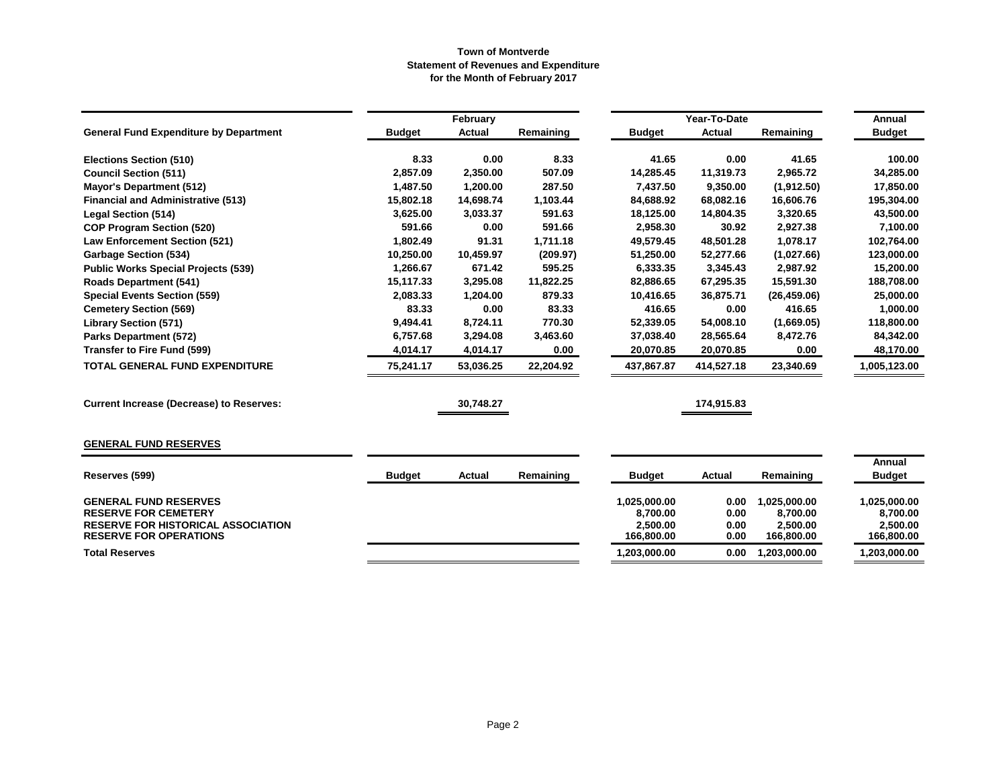|                                                                            |               | February  |           |                        | Year-To-Date  |                        | <b>Annual</b>          |
|----------------------------------------------------------------------------|---------------|-----------|-----------|------------------------|---------------|------------------------|------------------------|
| <b>General Fund Expenditure by Department</b>                              | <b>Budget</b> | Actual    | Remaining | <b>Budget</b>          | <b>Actual</b> | Remaining              | <b>Budget</b>          |
| <b>Elections Section (510)</b>                                             | 8.33          | 0.00      | 8.33      | 41.65                  | 0.00          | 41.65                  | 100.00                 |
| <b>Council Section (511)</b>                                               | 2,857.09      | 2,350.00  | 507.09    | 14,285.45              | 11,319.73     | 2,965.72               | 34,285.00              |
| <b>Mayor's Department (512)</b>                                            | 1,487.50      | 1,200.00  | 287.50    | 7,437.50               | 9,350.00      | (1,912.50)             | 17,850.00              |
| <b>Financial and Administrative (513)</b>                                  | 15,802.18     | 14,698.74 | 1,103.44  | 84,688.92              | 68,082.16     | 16,606.76              | 195,304.00             |
| <b>Legal Section (514)</b>                                                 | 3,625.00      | 3,033.37  | 591.63    | 18,125.00              | 14,804.35     | 3,320.65               | 43,500.00              |
| <b>COP Program Section (520)</b>                                           | 591.66        | 0.00      | 591.66    | 2,958.30               | 30.92         | 2,927.38               | 7,100.00               |
| <b>Law Enforcement Section (521)</b>                                       | 1,802.49      | 91.31     | 1,711.18  | 49,579.45              | 48,501.28     | 1,078.17               | 102,764.00             |
| <b>Garbage Section (534)</b>                                               | 10,250.00     | 10,459.97 | (209.97)  | 51,250.00              | 52,277.66     | (1,027.66)             | 123,000.00             |
| <b>Public Works Special Projects (539)</b>                                 | 1,266.67      | 671.42    | 595.25    | 6,333.35               | 3,345.43      | 2,987.92               | 15,200.00              |
| <b>Roads Department (541)</b>                                              | 15,117.33     | 3,295.08  | 11,822.25 | 82,886.65              | 67,295.35     | 15,591.30              | 188,708.00             |
| <b>Special Events Section (559)</b>                                        | 2,083.33      | 1,204.00  | 879.33    | 10,416.65              | 36,875.71     | (26, 459.06)           | 25,000.00              |
| <b>Cemetery Section (569)</b>                                              | 83.33         | 0.00      | 83.33     | 416.65                 | 0.00          | 416.65                 | 1,000.00               |
| <b>Library Section (571)</b>                                               | 9,494.41      | 8,724.11  | 770.30    | 52,339.05              | 54,008.10     | (1,669.05)             | 118,800.00             |
| <b>Parks Department (572)</b>                                              | 6,757.68      | 3,294.08  | 3,463.60  | 37,038.40              | 28,565.64     | 8,472.76               | 84,342.00              |
| Transfer to Fire Fund (599)                                                | 4,014.17      | 4,014.17  | 0.00      | 20,070.85              | 20,070.85     | 0.00                   | 48,170.00              |
| TOTAL GENERAL FUND EXPENDITURE                                             | 75,241.17     | 53,036.25 | 22,204.92 | 437,867.87             | 414,527.18    | 23,340.69              | ,005,123.00            |
| <b>Current Increase (Decrease) to Reserves:</b>                            |               | 30,748.27 |           |                        | 174,915.83    |                        |                        |
| <b>GENERAL FUND RESERVES</b>                                               |               |           |           |                        |               |                        |                        |
|                                                                            |               |           |           |                        |               |                        | Annual                 |
| Reserves (599)                                                             | <b>Budget</b> | Actual    | Remaining | <b>Budget</b>          | Actual        | Remaining              | <b>Budget</b>          |
| <b>GENERAL FUND RESERVES</b>                                               |               |           |           | 1,025,000.00           | 0.00          | 1,025,000.00           | 1,025,000.00           |
| <b>RESERVE FOR CEMETERY</b>                                                |               |           |           | 8,700.00               | 0.00          | 8,700.00               | 8,700.00               |
| <b>RESERVE FOR HISTORICAL ASSOCIATION</b><br><b>RESERVE FOR OPERATIONS</b> |               |           |           | 2,500.00<br>166,800.00 | 0.00<br>0.00  | 2,500.00<br>166,800.00 | 2,500.00<br>166,800.00 |
| <b>Total Reserves</b>                                                      |               |           |           | 1,203,000.00           | 0.00          | 1,203,000.00           | 1,203,000.00           |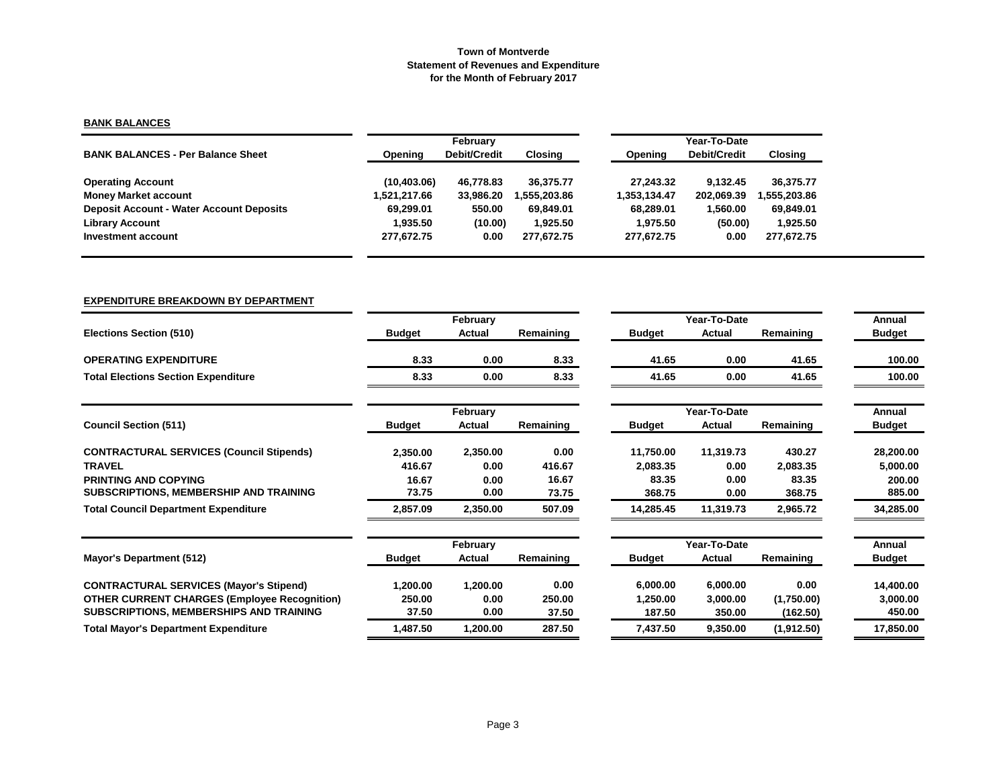## **BANK BALANCES**

|                                                 |              | February     |              | Year-To-Date |              |              |  |  |
|-------------------------------------------------|--------------|--------------|--------------|--------------|--------------|--------------|--|--|
| <b>BANK BALANCES - Per Balance Sheet</b>        | Opening      | Debit/Credit | Closing      | Opening      | Debit/Credit | Closing      |  |  |
| <b>Operating Account</b>                        | (10, 403.06) | 46.778.83    | 36.375.77    | 27.243.32    | 9.132.45     | 36.375.77    |  |  |
| <b>Money Market account</b>                     | 1,521,217.66 | 33.986.20    | 1.555.203.86 | 1.353.134.47 | 202.069.39   | 1.555.203.86 |  |  |
| <b>Deposit Account - Water Account Deposits</b> | 69.299.01    | 550.00       | 69.849.01    | 68.289.01    | 1.560.00     | 69.849.01    |  |  |
| <b>Library Account</b>                          | 1.935.50     | (10.00)      | 1.925.50     | 1.975.50     | (50.00)      | 1,925.50     |  |  |
| Investment account                              | 277,672.75   | 0.00         | 277.672.75   | 277,672.75   | 0.00         | 277,672.75   |  |  |

### **EXPENDITURE BREAKDOWN BY DEPARTMENT**

|                                                     |               | February |           |               | Year-To-Date |            | Annual        |
|-----------------------------------------------------|---------------|----------|-----------|---------------|--------------|------------|---------------|
| <b>Elections Section (510)</b>                      | <b>Budget</b> | Actual   | Remaining | <b>Budget</b> | Actual       | Remaining  | <b>Budget</b> |
| <b>OPERATING EXPENDITURE</b>                        | 8.33          | 0.00     | 8.33      | 41.65         | 0.00         | 41.65      | 100.00        |
| <b>Total Elections Section Expenditure</b>          | 8.33          | 0.00     | 8.33      | 41.65         | 0.00         | 41.65      | 100.00        |
|                                                     |               | February |           |               | Year-To-Date |            | Annual        |
| <b>Council Section (511)</b>                        | <b>Budget</b> | Actual   | Remaining | <b>Budget</b> | Actual       | Remaining  | <b>Budget</b> |
| <b>CONTRACTURAL SERVICES (Council Stipends)</b>     | 2,350.00      | 2,350.00 | 0.00      | 11,750.00     | 11,319.73    | 430.27     | 28,200.00     |
| <b>TRAVEL</b>                                       | 416.67        | 0.00     | 416.67    | 2,083.35      | 0.00         | 2,083.35   | 5,000.00      |
| <b>PRINTING AND COPYING</b>                         | 16.67         | 0.00     | 16.67     | 83.35         | 0.00         | 83.35      | 200.00        |
| SUBSCRIPTIONS, MEMBERSHIP AND TRAINING              | 73.75         | 0.00     | 73.75     | 368.75        | 0.00         | 368.75     | 885.00        |
| <b>Total Council Department Expenditure</b>         | 2,857.09      | 2,350.00 | 507.09    | 14,285.45     | 11,319.73    | 2,965.72   | 34,285.00     |
|                                                     |               | February |           |               | Year-To-Date |            | Annual        |
| Mayor's Department (512)                            | <b>Budget</b> | Actual   | Remaining | <b>Budget</b> | Actual       | Remaining  | <b>Budget</b> |
| <b>CONTRACTURAL SERVICES (Mayor's Stipend)</b>      | 1,200.00      | 1,200.00 | 0.00      | 6,000.00      | 6,000.00     | 0.00       | 14,400.00     |
| <b>OTHER CURRENT CHARGES (Employee Recognition)</b> | 250.00        | 0.00     | 250.00    | 1,250.00      | 3,000.00     | (1,750.00) | 3,000.00      |
| SUBSCRIPTIONS, MEMBERSHIPS AND TRAINING             | 37.50         | 0.00     | 37.50     | 187.50        | 350.00       | (162.50)   | 450.00        |
| <b>Total Mayor's Department Expenditure</b>         | 1,487.50      | 1,200.00 | 287.50    | 7,437.50      | 9,350.00     | (1,912.50) | 17,850.00     |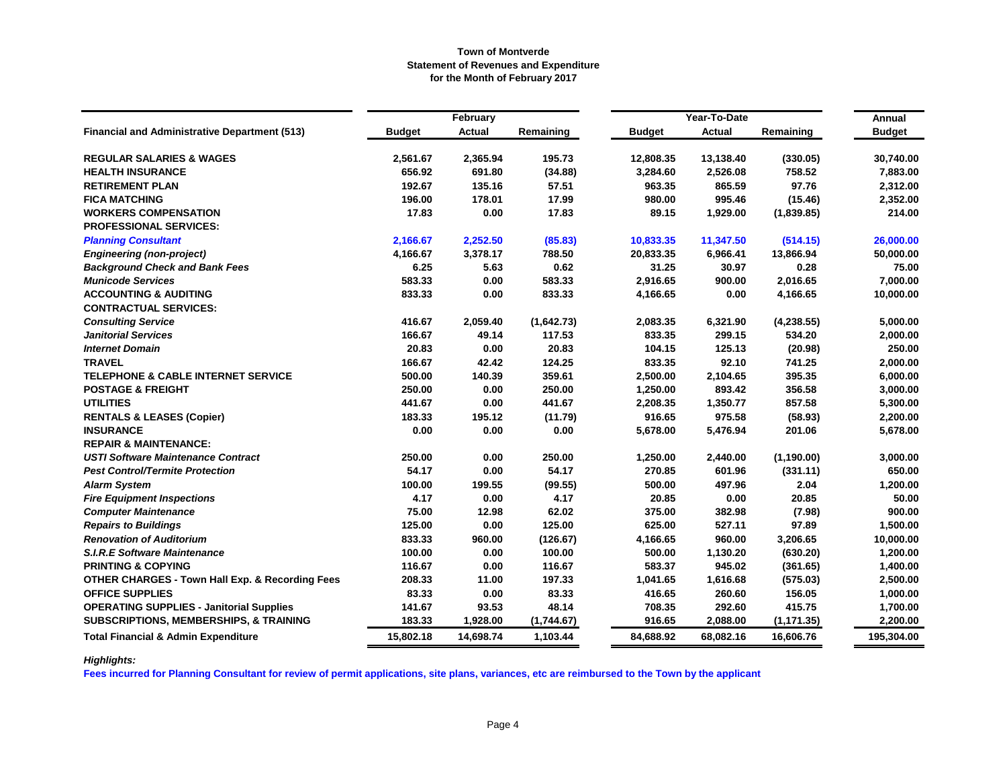|                                                            |               | February  |            |               | Year-To-Date  |             | Annual        |
|------------------------------------------------------------|---------------|-----------|------------|---------------|---------------|-------------|---------------|
| <b>Financial and Administrative Department (513)</b>       | <b>Budget</b> | Actual    | Remaining  | <b>Budget</b> | <b>Actual</b> | Remaining   | <b>Budget</b> |
| <b>REGULAR SALARIES &amp; WAGES</b>                        | 2,561.67      | 2,365.94  | 195.73     | 12,808.35     | 13,138.40     | (330.05)    | 30,740.00     |
| <b>HEALTH INSURANCE</b>                                    | 656.92        | 691.80    | (34.88)    | 3,284.60      | 2,526.08      | 758.52      | 7,883.00      |
| <b>RETIREMENT PLAN</b>                                     | 192.67        | 135.16    | 57.51      | 963.35        | 865.59        | 97.76       | 2,312.00      |
| <b>FICA MATCHING</b>                                       | 196.00        | 178.01    | 17.99      | 980.00        | 995.46        | (15.46)     | 2,352.00      |
| <b>WORKERS COMPENSATION</b>                                | 17.83         | 0.00      | 17.83      | 89.15         | 1,929.00      | (1,839.85)  | 214.00        |
| <b>PROFESSIONAL SERVICES:</b>                              |               |           |            |               |               |             |               |
| <b>Planning Consultant</b>                                 | 2,166.67      | 2,252.50  | (85.83)    | 10,833.35     | 11,347.50     | (514.15)    | 26,000.00     |
| <b>Engineering (non-project)</b>                           | 4,166.67      | 3,378.17  | 788.50     | 20,833.35     | 6,966.41      | 13,866.94   | 50,000.00     |
| <b>Background Check and Bank Fees</b>                      | 6.25          | 5.63      | 0.62       | 31.25         | 30.97         | 0.28        | 75.00         |
| <b>Municode Services</b>                                   | 583.33        | 0.00      | 583.33     | 2,916.65      | 900.00        | 2,016.65    | 7,000.00      |
| <b>ACCOUNTING &amp; AUDITING</b>                           | 833.33        | 0.00      | 833.33     | 4,166.65      | 0.00          | 4,166.65    | 10,000.00     |
| <b>CONTRACTUAL SERVICES:</b>                               |               |           |            |               |               |             |               |
| <b>Consulting Service</b>                                  | 416.67        | 2,059.40  | (1,642.73) | 2,083.35      | 6,321.90      | (4,238.55)  | 5,000.00      |
| <b>Janitorial Services</b>                                 | 166.67        | 49.14     | 117.53     | 833.35        | 299.15        | 534.20      | 2,000.00      |
| <b>Internet Domain</b>                                     | 20.83         | 0.00      | 20.83      | 104.15        | 125.13        | (20.98)     | 250.00        |
| <b>TRAVEL</b>                                              | 166.67        | 42.42     | 124.25     | 833.35        | 92.10         | 741.25      | 2,000.00      |
| <b>TELEPHONE &amp; CABLE INTERNET SERVICE</b>              | 500.00        | 140.39    | 359.61     | 2,500.00      | 2,104.65      | 395.35      | 6,000.00      |
| <b>POSTAGE &amp; FREIGHT</b>                               | 250.00        | 0.00      | 250.00     | 1,250.00      | 893.42        | 356.58      | 3,000.00      |
| <b>UTILITIES</b>                                           | 441.67        | 0.00      | 441.67     | 2,208.35      | 1,350.77      | 857.58      | 5,300.00      |
| <b>RENTALS &amp; LEASES (Copier)</b>                       | 183.33        | 195.12    | (11.79)    | 916.65        | 975.58        | (58.93)     | 2,200.00      |
| <b>INSURANCE</b>                                           | 0.00          | 0.00      | 0.00       | 5,678.00      | 5,476.94      | 201.06      | 5,678.00      |
| <b>REPAIR &amp; MAINTENANCE:</b>                           |               |           |            |               |               |             |               |
| <b>USTI Software Maintenance Contract</b>                  | 250.00        | 0.00      | 250.00     | 1,250.00      | 2,440.00      | (1, 190.00) | 3,000.00      |
| <b>Pest Control/Termite Protection</b>                     | 54.17         | 0.00      | 54.17      | 270.85        | 601.96        | (331.11)    | 650.00        |
| <b>Alarm System</b>                                        | 100.00        | 199.55    | (99.55)    | 500.00        | 497.96        | 2.04        | 1,200.00      |
| <b>Fire Equipment Inspections</b>                          | 4.17          | 0.00      | 4.17       | 20.85         | 0.00          | 20.85       | 50.00         |
| <b>Computer Maintenance</b>                                | 75.00         | 12.98     | 62.02      | 375.00        | 382.98        | (7.98)      | 900.00        |
| <b>Repairs to Buildings</b>                                | 125.00        | 0.00      | 125.00     | 625.00        | 527.11        | 97.89       | 1,500.00      |
| <b>Renovation of Auditorium</b>                            | 833.33        | 960.00    | (126.67)   | 4,166.65      | 960.00        | 3,206.65    | 10,000.00     |
| <b>S.I.R.E Software Maintenance</b>                        | 100.00        | 0.00      | 100.00     | 500.00        | 1,130.20      | (630.20)    | 1,200.00      |
| <b>PRINTING &amp; COPYING</b>                              | 116.67        | 0.00      | 116.67     | 583.37        | 945.02        | (361.65)    | 1,400.00      |
| <b>OTHER CHARGES - Town Hall Exp. &amp; Recording Fees</b> | 208.33        | 11.00     | 197.33     | 1,041.65      | 1,616.68      | (575.03)    | 2,500.00      |
| <b>OFFICE SUPPLIES</b>                                     | 83.33         | 0.00      | 83.33      | 416.65        | 260.60        | 156.05      | 1,000.00      |
| <b>OPERATING SUPPLIES - Janitorial Supplies</b>            | 141.67        | 93.53     | 48.14      | 708.35        | 292.60        | 415.75      | 1,700.00      |
| <b>SUBSCRIPTIONS, MEMBERSHIPS, &amp; TRAINING</b>          | 183.33        | 1,928.00  | (1,744.67) | 916.65        | 2,088.00      | (1, 171.35) | 2,200.00      |
| <b>Total Financial &amp; Admin Expenditure</b>             | 15,802.18     | 14,698.74 | 1,103.44   | 84,688.92     | 68,082.16     | 16,606.76   | 195,304.00    |

# *Highlights:*

**Fees incurred for Planning Consultant for review of permit applications, site plans, variances, etc are reimbursed to the Town by the applicant**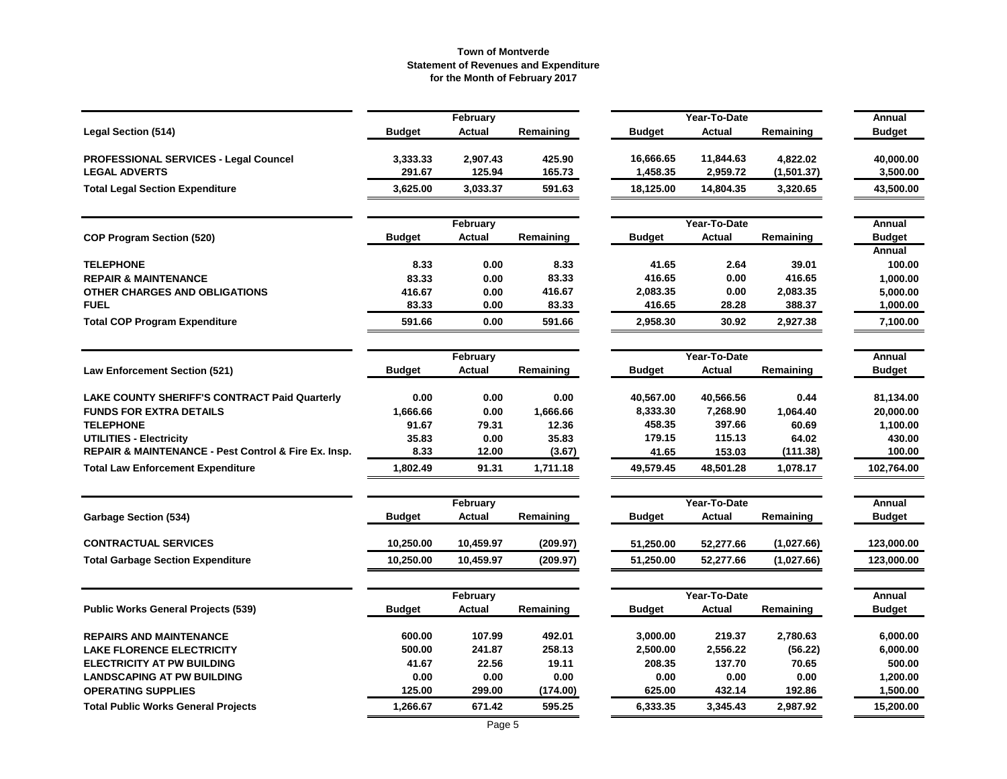|                                                      |               | February      |           |               | Year-To-Date  |            | Annual        |
|------------------------------------------------------|---------------|---------------|-----------|---------------|---------------|------------|---------------|
| <b>Legal Section (514)</b>                           | <b>Budget</b> | <b>Actual</b> | Remaining | <b>Budget</b> | <b>Actual</b> | Remaining  | <b>Budget</b> |
| <b>PROFESSIONAL SERVICES - Legal Councel</b>         | 3,333.33      | 2,907.43      | 425.90    | 16,666.65     | 11,844.63     | 4,822.02   | 40,000.00     |
| <b>LEGAL ADVERTS</b>                                 | 291.67        | 125.94        | 165.73    | 1,458.35      | 2,959.72      | (1,501.37) | 3,500.00      |
| <b>Total Legal Section Expenditure</b>               | 3,625.00      | 3,033.37      | 591.63    | 18,125.00     | 14,804.35     | 3,320.65   | 43,500.00     |
|                                                      |               | February      |           |               | Year-To-Date  |            | Annual        |
| <b>COP Program Section (520)</b>                     | <b>Budget</b> | <b>Actual</b> | Remaining | <b>Budget</b> | <b>Actual</b> | Remaining  | <b>Budget</b> |
|                                                      |               |               |           |               |               |            | Annual        |
| <b>TELEPHONE</b>                                     | 8.33          | 0.00          | 8.33      | 41.65         | 2.64          | 39.01      | 100.00        |
| <b>REPAIR &amp; MAINTENANCE</b>                      | 83.33         | 0.00          | 83.33     | 416.65        | 0.00          | 416.65     | 1,000.00      |
| OTHER CHARGES AND OBLIGATIONS                        | 416.67        | 0.00          | 416.67    | 2,083.35      | 0.00          | 2,083.35   | 5,000.00      |
| <b>FUEL</b>                                          | 83.33         | 0.00          | 83.33     | 416.65        | 28.28         | 388.37     | 1,000.00      |
| <b>Total COP Program Expenditure</b>                 | 591.66        | 0.00          | 591.66    | 2,958.30      | 30.92         | 2,927.38   | 7,100.00      |
|                                                      |               | February      |           |               | Year-To-Date  |            | <b>Annual</b> |
| <b>Law Enforcement Section (521)</b>                 | <b>Budget</b> | <b>Actual</b> | Remaining | Budget        | <b>Actual</b> | Remaining  | <b>Budget</b> |
| <b>LAKE COUNTY SHERIFF'S CONTRACT Paid Quarterly</b> | 0.00          | 0.00          | 0.00      | 40,567.00     | 40,566.56     | 0.44       | 81,134.00     |
| <b>FUNDS FOR EXTRA DETAILS</b>                       | 1,666.66      | 0.00          | 1,666.66  | 8,333.30      | 7,268.90      | 1,064.40   | 20,000.00     |
| <b>TELEPHONE</b>                                     | 91.67         | 79.31         | 12.36     | 458.35        | 397.66        | 60.69      | 1,100.00      |
| <b>UTILITIES - Electricity</b>                       | 35.83         | 0.00          | 35.83     | 179.15        | 115.13        | 64.02      | 430.00        |
| REPAIR & MAINTENANCE - Pest Control & Fire Ex. Insp. | 8.33          | 12.00         | (3.67)    | 41.65         | 153.03        | (111.38)   | 100.00        |
| <b>Total Law Enforcement Expenditure</b>             | 1,802.49      | 91.31         | 1,711.18  | 49,579.45     | 48,501.28     | 1,078.17   | 102,764.00    |
|                                                      |               | February      |           |               | Year-To-Date  |            | Annual        |
| <b>Garbage Section (534)</b>                         | <b>Budget</b> | Actual        | Remaining | Budget        | Actual        | Remaining  | <b>Budget</b> |
| <b>CONTRACTUAL SERVICES</b>                          | 10,250.00     | 10,459.97     | (209.97)  | 51,250.00     | 52,277.66     | (1,027.66) | 123,000.00    |
| <b>Total Garbage Section Expenditure</b>             | 10,250.00     | 10,459.97     | (209.97)  | 51,250.00     | 52,277.66     | (1,027.66) | 123,000.00    |
|                                                      |               | February      |           |               | Year-To-Date  |            | Annual        |
| <b>Public Works General Projects (539)</b>           | <b>Budget</b> | <b>Actual</b> | Remaining | Budget        | Actual        | Remaining  | <b>Budget</b> |
| <b>REPAIRS AND MAINTENANCE</b>                       | 600.00        | 107.99        | 492.01    | 3,000.00      | 219.37        | 2,780.63   | 6,000.00      |
| <b>LAKE FLORENCE ELECTRICITY</b>                     | 500.00        | 241.87        | 258.13    | 2,500.00      | 2,556.22      | (56.22)    | 6,000.00      |
| <b>ELECTRICITY AT PW BUILDING</b>                    | 41.67         | 22.56         | 19.11     | 208.35        | 137.70        | 70.65      | 500.00        |
| <b>LANDSCAPING AT PW BUILDING</b>                    | 0.00          | 0.00          | 0.00      | 0.00          | 0.00          | 0.00       | 1,200.00      |
| <b>OPERATING SUPPLIES</b>                            | 125.00        | 299.00        | (174.00)  | 625.00        | 432.14        | 192.86     | 1,500.00      |
| <b>Total Public Works General Projects</b>           | 1,266.67      | 671.42        | 595.25    | 6,333.35      | 3,345.43      | 2,987.92   | 15,200.00     |
|                                                      |               |               |           |               |               |            |               |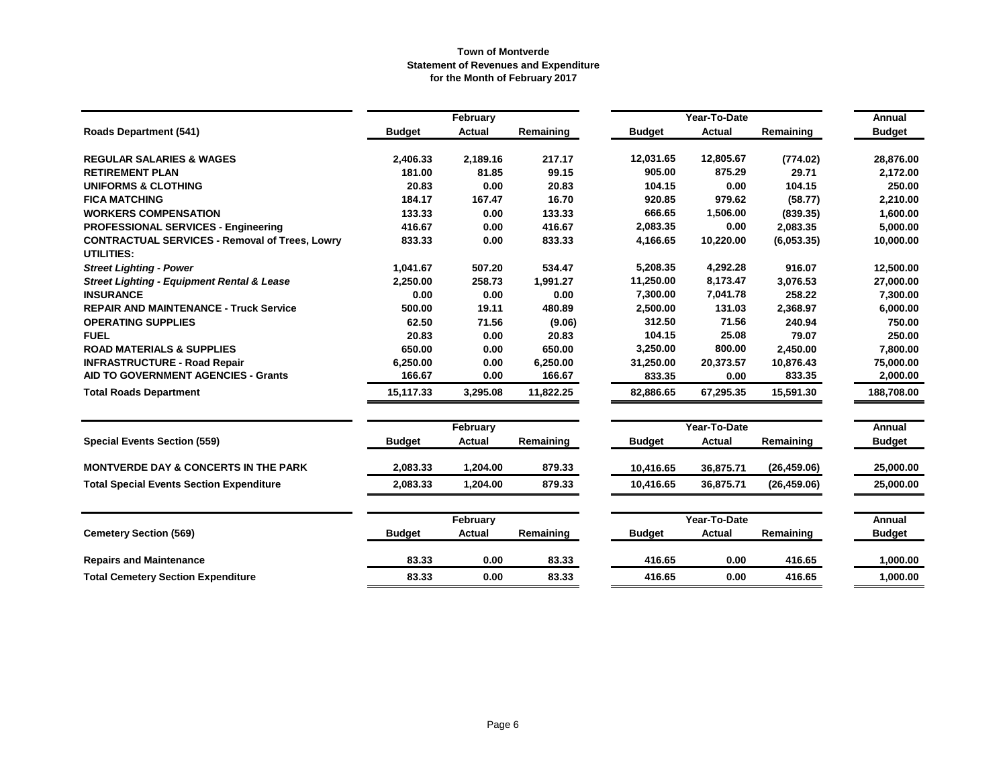|                                                       |               | February      |           |               | Year-To-Date  |              | Annual        |
|-------------------------------------------------------|---------------|---------------|-----------|---------------|---------------|--------------|---------------|
| <b>Roads Department (541)</b>                         | <b>Budget</b> | <b>Actual</b> | Remaining | <b>Budget</b> | Actual        | Remaining    | <b>Budget</b> |
| <b>REGULAR SALARIES &amp; WAGES</b>                   | 2,406.33      | 2,189.16      | 217.17    | 12,031.65     | 12,805.67     | (774.02)     | 28,876.00     |
| <b>RETIREMENT PLAN</b>                                | 181.00        | 81.85         | 99.15     | 905.00        | 875.29        | 29.71        | 2,172.00      |
| <b>UNIFORMS &amp; CLOTHING</b>                        | 20.83         | 0.00          | 20.83     | 104.15        | 0.00          | 104.15       | 250.00        |
| <b>FICA MATCHING</b>                                  | 184.17        | 167.47        | 16.70     | 920.85        | 979.62        | (58.77)      | 2,210.00      |
| <b>WORKERS COMPENSATION</b>                           | 133.33        | 0.00          | 133.33    | 666.65        | 1,506.00      | (839.35)     | 1,600.00      |
| <b>PROFESSIONAL SERVICES - Engineering</b>            | 416.67        | 0.00          | 416.67    | 2,083.35      | 0.00          | 2,083.35     | 5,000.00      |
| <b>CONTRACTUAL SERVICES - Removal of Trees, Lowry</b> | 833.33        | 0.00          | 833.33    | 4,166.65      | 10,220.00     | (6,053.35)   | 10,000.00     |
| <b>UTILITIES:</b>                                     |               |               |           |               |               |              |               |
| <b>Street Lighting - Power</b>                        | 1,041.67      | 507.20        | 534.47    | 5,208.35      | 4,292.28      | 916.07       | 12.500.00     |
| <b>Street Lighting - Equipment Rental &amp; Lease</b> | 2,250.00      | 258.73        | 1,991.27  | 11,250.00     | 8,173.47      | 3,076.53     | 27,000.00     |
| <b>INSURANCE</b>                                      | 0.00          | 0.00          | 0.00      | 7,300.00      | 7,041.78      | 258.22       | 7,300.00      |
| <b>REPAIR AND MAINTENANCE - Truck Service</b>         | 500.00        | 19.11         | 480.89    | 2,500.00      | 131.03        | 2,368.97     | 6,000.00      |
| <b>OPERATING SUPPLIES</b>                             | 62.50         | 71.56         | (9.06)    | 312.50        | 71.56         | 240.94       | 750.00        |
| <b>FUEL</b>                                           | 20.83         | 0.00          | 20.83     | 104.15        | 25.08         | 79.07        | 250.00        |
| <b>ROAD MATERIALS &amp; SUPPLIES</b>                  | 650.00        | 0.00          | 650.00    | 3,250.00      | 800.00        | 2,450.00     | 7,800.00      |
| <b>INFRASTRUCTURE - Road Repair</b>                   | 6,250.00      | 0.00          | 6,250.00  | 31,250.00     | 20,373.57     | 10,876.43    | 75,000.00     |
| AID TO GOVERNMENT AGENCIES - Grants                   | 166.67        | 0.00          | 166.67    | 833.35        | 0.00          | 833.35       | 2,000.00      |
| <b>Total Roads Department</b>                         | 15,117.33     | 3,295.08      | 11,822.25 | 82,886.65     | 67,295.35     | 15,591.30    | 188,708.00    |
|                                                       |               | February      |           | Year-To-Date  |               |              | Annual        |
| <b>Special Events Section (559)</b>                   | <b>Budget</b> | <b>Actual</b> | Remaining | <b>Budget</b> | <b>Actual</b> | Remaining    | <b>Budget</b> |
| <b>MONTVERDE DAY &amp; CONCERTS IN THE PARK</b>       | 2,083.33      | 1,204.00      | 879.33    | 10,416.65     | 36,875.71     | (26, 459.06) | 25.000.00     |
| <b>Total Special Events Section Expenditure</b>       | 2,083.33      | 1,204.00      | 879.33    | 10,416.65     | 36,875.71     | (26, 459.06) | 25,000.00     |
|                                                       |               | February      |           |               | Year-To-Date  |              | Annual        |
| <b>Cemetery Section (569)</b>                         | <b>Budget</b> | <b>Actual</b> | Remaining | <b>Budget</b> | Actual        | Remaining    | <b>Budget</b> |
| <b>Repairs and Maintenance</b>                        | 83.33         | 0.00          | 83.33     | 416.65        | 0.00          | 416.65       | 1,000.00      |
| <b>Total Cemetery Section Expenditure</b>             | 83.33         | 0.00          | 83.33     | 416.65        | 0.00          | 416.65       | 1,000.00      |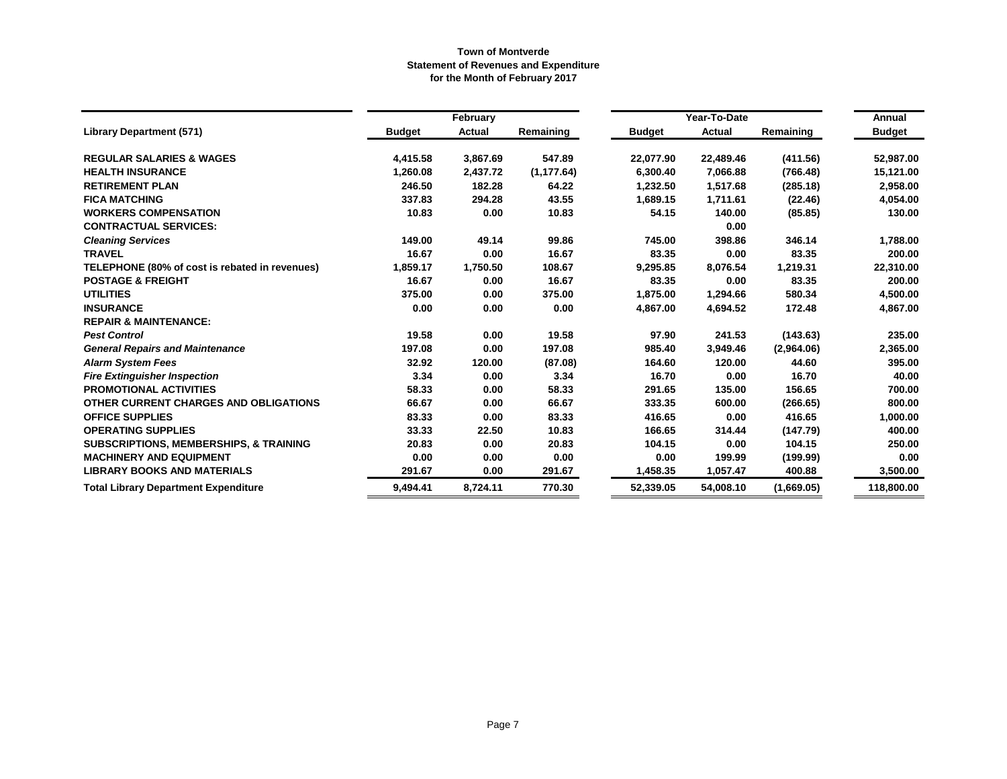|                                                   |               | February |             |           | Year-To-Date |            | Annual        |
|---------------------------------------------------|---------------|----------|-------------|-----------|--------------|------------|---------------|
| <b>Library Department (571)</b>                   | <b>Budget</b> | Actual   | Remaining   | Budget    | Actual       | Remaining  | <b>Budget</b> |
| <b>REGULAR SALARIES &amp; WAGES</b>               | 4,415.58      | 3,867.69 | 547.89      | 22,077.90 | 22,489.46    | (411.56)   | 52,987.00     |
| <b>HEALTH INSURANCE</b>                           | 1,260.08      | 2,437.72 | (1, 177.64) | 6,300.40  | 7,066.88     | (766.48)   | 15,121.00     |
| <b>RETIREMENT PLAN</b>                            | 246.50        | 182.28   | 64.22       | 1,232.50  | 1,517.68     | (285.18)   | 2,958.00      |
| <b>FICA MATCHING</b>                              | 337.83        | 294.28   | 43.55       | 1,689.15  | 1,711.61     | (22.46)    | 4,054.00      |
| <b>WORKERS COMPENSATION</b>                       | 10.83         | 0.00     | 10.83       | 54.15     | 140.00       | (85.85)    | 130.00        |
| <b>CONTRACTUAL SERVICES:</b>                      |               |          |             |           | 0.00         |            |               |
| <b>Cleaning Services</b>                          | 149.00        | 49.14    | 99.86       | 745.00    | 398.86       | 346.14     | 1,788.00      |
| <b>TRAVEL</b>                                     | 16.67         | 0.00     | 16.67       | 83.35     | 0.00         | 83.35      | 200.00        |
| TELEPHONE (80% of cost is rebated in revenues)    | 1,859.17      | 1,750.50 | 108.67      | 9,295.85  | 8,076.54     | 1,219.31   | 22,310.00     |
| <b>POSTAGE &amp; FREIGHT</b>                      | 16.67         | 0.00     | 16.67       | 83.35     | 0.00         | 83.35      | 200.00        |
| <b>UTILITIES</b>                                  | 375.00        | 0.00     | 375.00      | 1,875.00  | 1,294.66     | 580.34     | 4,500.00      |
| <b>INSURANCE</b>                                  | 0.00          | 0.00     | 0.00        | 4,867.00  | 4,694.52     | 172.48     | 4,867.00      |
| <b>REPAIR &amp; MAINTENANCE:</b>                  |               |          |             |           |              |            |               |
| <b>Pest Control</b>                               | 19.58         | 0.00     | 19.58       | 97.90     | 241.53       | (143.63)   | 235.00        |
| <b>General Repairs and Maintenance</b>            | 197.08        | 0.00     | 197.08      | 985.40    | 3,949.46     | (2,964.06) | 2,365.00      |
| <b>Alarm System Fees</b>                          | 32.92         | 120.00   | (87.08)     | 164.60    | 120.00       | 44.60      | 395.00        |
| <b>Fire Extinguisher Inspection</b>               | 3.34          | 0.00     | 3.34        | 16.70     | 0.00         | 16.70      | 40.00         |
| <b>PROMOTIONAL ACTIVITIES</b>                     | 58.33         | 0.00     | 58.33       | 291.65    | 135.00       | 156.65     | 700.00        |
| OTHER CURRENT CHARGES AND OBLIGATIONS             | 66.67         | 0.00     | 66.67       | 333.35    | 600.00       | (266.65)   | 800.00        |
| <b>OFFICE SUPPLIES</b>                            | 83.33         | 0.00     | 83.33       | 416.65    | 0.00         | 416.65     | 1,000.00      |
| <b>OPERATING SUPPLIES</b>                         | 33.33         | 22.50    | 10.83       | 166.65    | 314.44       | (147.79)   | 400.00        |
| <b>SUBSCRIPTIONS, MEMBERSHIPS, &amp; TRAINING</b> | 20.83         | 0.00     | 20.83       | 104.15    | 0.00         | 104.15     | 250.00        |
| <b>MACHINERY AND EQUIPMENT</b>                    | 0.00          | 0.00     | 0.00        | 0.00      | 199.99       | (199.99)   | 0.00          |
| <b>LIBRARY BOOKS AND MATERIALS</b>                | 291.67        | 0.00     | 291.67      | 1,458.35  | 1,057.47     | 400.88     | 3,500.00      |
| <b>Total Library Department Expenditure</b>       | 9,494.41      | 8,724.11 | 770.30      | 52,339.05 | 54,008.10    | (1,669.05) | 118,800.00    |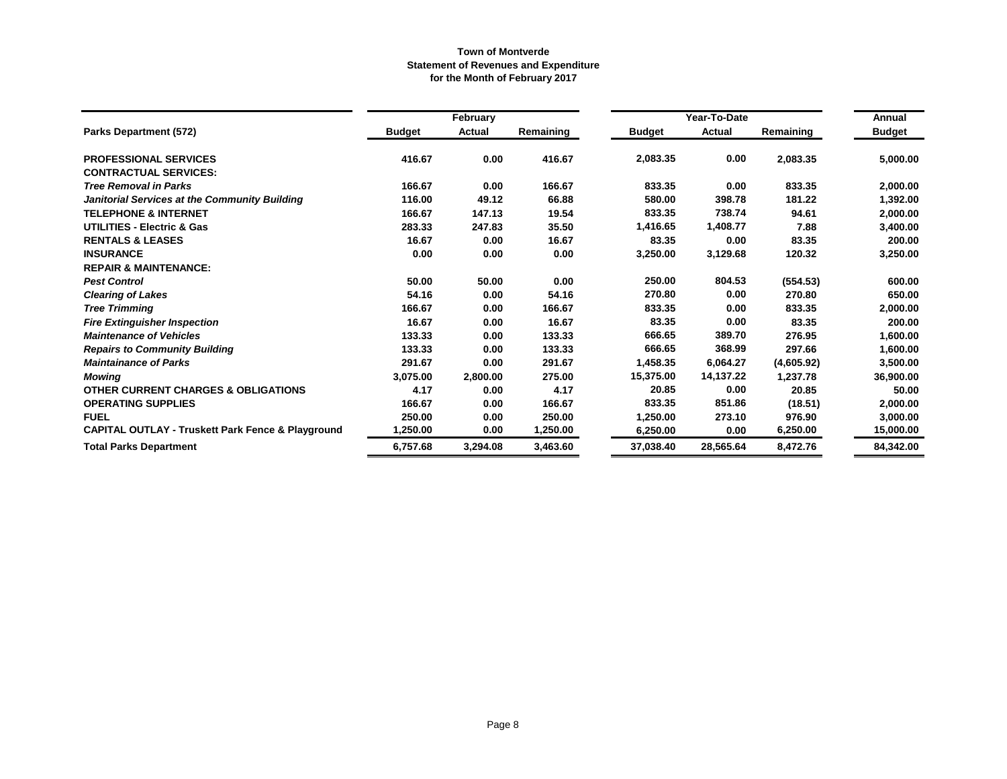|                                                              |               | February      |           |               | Year-To-Date |            | Annual        |
|--------------------------------------------------------------|---------------|---------------|-----------|---------------|--------------|------------|---------------|
| Parks Department (572)                                       | <b>Budget</b> | <b>Actual</b> | Remaining | <b>Budget</b> | Actual       | Remaining  | <b>Budget</b> |
| <b>PROFESSIONAL SERVICES</b>                                 | 416.67        | 0.00          | 416.67    | 2,083.35      | 0.00         | 2,083.35   | 5,000.00      |
| <b>CONTRACTUAL SERVICES:</b>                                 |               |               |           |               |              |            |               |
| <b>Tree Removal in Parks</b>                                 | 166.67        | 0.00          | 166.67    | 833.35        | 0.00         | 833.35     | 2,000.00      |
| Janitorial Services at the Community Building                | 116.00        | 49.12         | 66.88     | 580.00        | 398.78       | 181.22     | 1,392.00      |
| <b>TELEPHONE &amp; INTERNET</b>                              | 166.67        | 147.13        | 19.54     | 833.35        | 738.74       | 94.61      | 2,000.00      |
| <b>UTILITIES - Electric &amp; Gas</b>                        | 283.33        | 247.83        | 35.50     | 1,416.65      | 1,408.77     | 7.88       | 3,400.00      |
| <b>RENTALS &amp; LEASES</b>                                  | 16.67         | 0.00          | 16.67     | 83.35         | 0.00         | 83.35      | 200.00        |
| <b>INSURANCE</b>                                             | 0.00          | 0.00          | 0.00      | 3,250.00      | 3,129.68     | 120.32     | 3,250.00      |
| <b>REPAIR &amp; MAINTENANCE:</b>                             |               |               |           |               |              |            |               |
| <b>Pest Control</b>                                          | 50.00         | 50.00         | 0.00      | 250.00        | 804.53       | (554.53)   | 600.00        |
| <b>Clearing of Lakes</b>                                     | 54.16         | 0.00          | 54.16     | 270.80        | 0.00         | 270.80     | 650.00        |
| <b>Tree Trimming</b>                                         | 166.67        | 0.00          | 166.67    | 833.35        | 0.00         | 833.35     | 2,000.00      |
| <b>Fire Extinguisher Inspection</b>                          | 16.67         | 0.00          | 16.67     | 83.35         | 0.00         | 83.35      | 200.00        |
| <b>Maintenance of Vehicles</b>                               | 133.33        | 0.00          | 133.33    | 666.65        | 389.70       | 276.95     | 1,600.00      |
| <b>Repairs to Community Building</b>                         | 133.33        | 0.00          | 133.33    | 666.65        | 368.99       | 297.66     | 1,600.00      |
| <b>Maintainance of Parks</b>                                 | 291.67        | 0.00          | 291.67    | 1,458.35      | 6,064.27     | (4,605.92) | 3,500.00      |
| <b>Mowing</b>                                                | 3,075.00      | 2,800.00      | 275.00    | 15,375.00     | 14,137.22    | 1,237.78   | 36,900.00     |
| <b>OTHER CURRENT CHARGES &amp; OBLIGATIONS</b>               | 4.17          | 0.00          | 4.17      | 20.85         | 0.00         | 20.85      | 50.00         |
| <b>OPERATING SUPPLIES</b>                                    | 166.67        | 0.00          | 166.67    | 833.35        | 851.86       | (18.51)    | 2,000.00      |
| <b>FUEL</b>                                                  | 250.00        | 0.00          | 250.00    | 1,250.00      | 273.10       | 976.90     | 3,000.00      |
| <b>CAPITAL OUTLAY - Truskett Park Fence &amp; Playground</b> | 1,250.00      | 0.00          | 1,250.00  | 6,250.00      | 0.00         | 6,250.00   | 15,000.00     |
| <b>Total Parks Department</b>                                | 6,757.68      | 3,294.08      | 3,463.60  | 37,038.40     | 28,565.64    | 8,472.76   | 84,342.00     |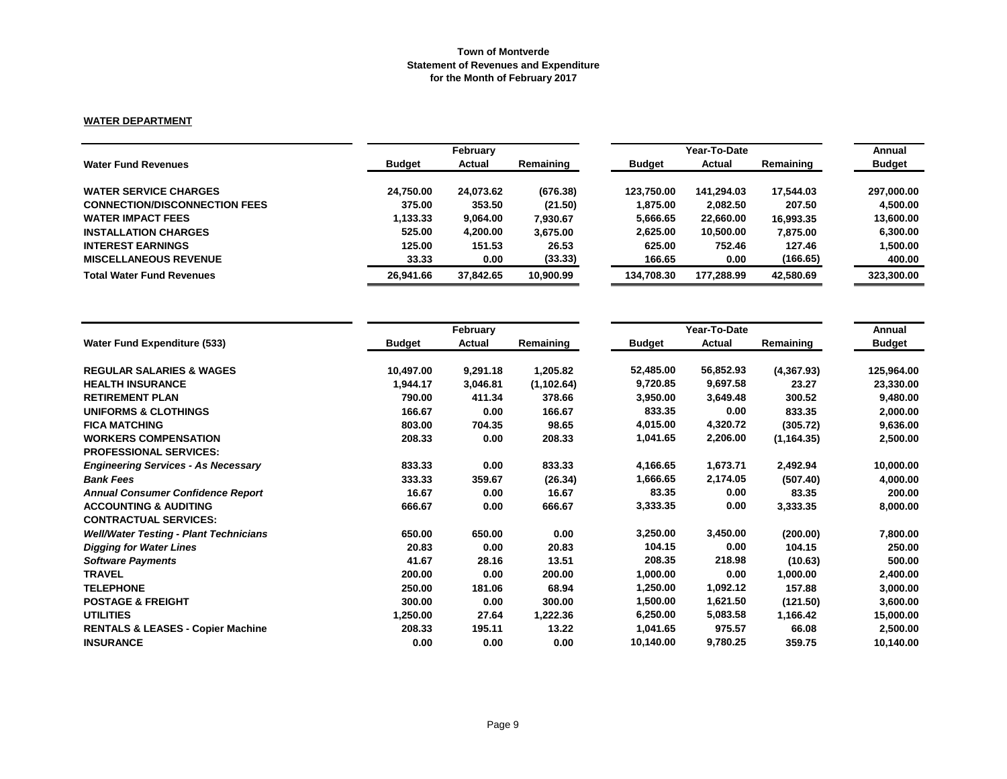### **WATER DEPARTMENT**

|                                      |               | February  |           |               | Year-To-Date |           |               |  |
|--------------------------------------|---------------|-----------|-----------|---------------|--------------|-----------|---------------|--|
| <b>Water Fund Revenues</b>           | <b>Budget</b> | Actual    | Remaining | <b>Budget</b> | Actual       | Remaining | <b>Budget</b> |  |
| <b>WATER SERVICE CHARGES</b>         | 24.750.00     | 24,073.62 | (676.38)  | 123.750.00    | 141.294.03   | 17.544.03 | 297,000.00    |  |
| <b>CONNECTION/DISCONNECTION FEES</b> | 375.00        | 353.50    | (21.50)   | 1.875.00      | 2,082.50     | 207.50    | 4.500.00      |  |
| <b>WATER IMPACT FEES</b>             | 1.133.33      | 9.064.00  | 7.930.67  | 5,666.65      | 22,660.00    | 16,993.35 | 13,600.00     |  |
| <b>INSTALLATION CHARGES</b>          | 525.00        | 4.200.00  | 3.675.00  | 2,625.00      | 10.500.00    | 7,875.00  | 6.300.00      |  |
| <b>INTEREST EARNINGS</b>             | 125.00        | 151.53    | 26.53     | 625.00        | 752.46       | 127.46    | 1,500.00      |  |
| <b>MISCELLANEOUS REVENUE</b>         | 33.33         | 0.00      | (33.33)   | 166.65        | 0.00         | (166.65)  | 400.00        |  |
| <b>Total Water Fund Revenues</b>     | 26.941.66     | 37.842.65 | 10,900.99 | 134.708.30    | 177.288.99   | 42,580.69 | 323,300.00    |  |

|                                               |               | February      |             |               | Year-To-Date |             |               |  |
|-----------------------------------------------|---------------|---------------|-------------|---------------|--------------|-------------|---------------|--|
| <b>Water Fund Expenditure (533)</b>           | <b>Budget</b> | <b>Actual</b> | Remaining   | <b>Budget</b> | Actual       | Remaining   | <b>Budget</b> |  |
| <b>REGULAR SALARIES &amp; WAGES</b>           | 10,497.00     | 9,291.18      | 1,205.82    | 52,485.00     | 56,852.93    | (4,367.93)  | 125,964.00    |  |
| <b>HEALTH INSURANCE</b>                       | 1,944.17      | 3,046.81      | (1, 102.64) | 9,720.85      | 9,697.58     | 23.27       | 23,330.00     |  |
| <b>RETIREMENT PLAN</b>                        | 790.00        | 411.34        | 378.66      | 3,950.00      | 3,649.48     | 300.52      | 9,480.00      |  |
| <b>UNIFORMS &amp; CLOTHINGS</b>               | 166.67        | 0.00          | 166.67      | 833.35        | 0.00         | 833.35      | 2,000.00      |  |
| <b>FICA MATCHING</b>                          | 803.00        | 704.35        | 98.65       | 4,015.00      | 4,320.72     | (305.72)    | 9,636.00      |  |
| <b>WORKERS COMPENSATION</b>                   | 208.33        | 0.00          | 208.33      | 1,041.65      | 2,206.00     | (1, 164.35) | 2,500.00      |  |
| <b>PROFESSIONAL SERVICES:</b>                 |               |               |             |               |              |             |               |  |
| <b>Engineering Services - As Necessary</b>    | 833.33        | 0.00          | 833.33      | 4,166.65      | 1,673.71     | 2,492.94    | 10,000.00     |  |
| <b>Bank Fees</b>                              | 333.33        | 359.67        | (26.34)     | 1,666.65      | 2,174.05     | (507.40)    | 4,000.00      |  |
| <b>Annual Consumer Confidence Report</b>      | 16.67         | 0.00          | 16.67       | 83.35         | 0.00         | 83.35       | 200.00        |  |
| <b>ACCOUNTING &amp; AUDITING</b>              | 666.67        | 0.00          | 666.67      | 3,333.35      | 0.00         | 3,333.35    | 8,000.00      |  |
| <b>CONTRACTUAL SERVICES:</b>                  |               |               |             |               |              |             |               |  |
| <b>Well/Water Testing - Plant Technicians</b> | 650.00        | 650.00        | 0.00        | 3,250.00      | 3,450.00     | (200.00)    | 7,800.00      |  |
| <b>Digging for Water Lines</b>                | 20.83         | 0.00          | 20.83       | 104.15        | 0.00         | 104.15      | 250.00        |  |
| <b>Software Payments</b>                      | 41.67         | 28.16         | 13.51       | 208.35        | 218.98       | (10.63)     | 500.00        |  |
| <b>TRAVEL</b>                                 | 200.00        | 0.00          | 200.00      | 1,000.00      | 0.00         | 1,000.00    | 2,400.00      |  |
| <b>TELEPHONE</b>                              | 250.00        | 181.06        | 68.94       | 1,250.00      | 1,092.12     | 157.88      | 3,000.00      |  |
| <b>POSTAGE &amp; FREIGHT</b>                  | 300.00        | 0.00          | 300.00      | 1,500.00      | 1,621.50     | (121.50)    | 3,600.00      |  |
| <b>UTILITIES</b>                              | 1,250.00      | 27.64         | 1,222.36    | 6,250.00      | 5,083.58     | 1,166.42    | 15,000.00     |  |
| <b>RENTALS &amp; LEASES - Copier Machine</b>  | 208.33        | 195.11        | 13.22       | 1,041.65      | 975.57       | 66.08       | 2,500.00      |  |
| <b>INSURANCE</b>                              | 0.00          | 0.00          | 0.00        | 10,140.00     | 9,780.25     | 359.75      | 10,140.00     |  |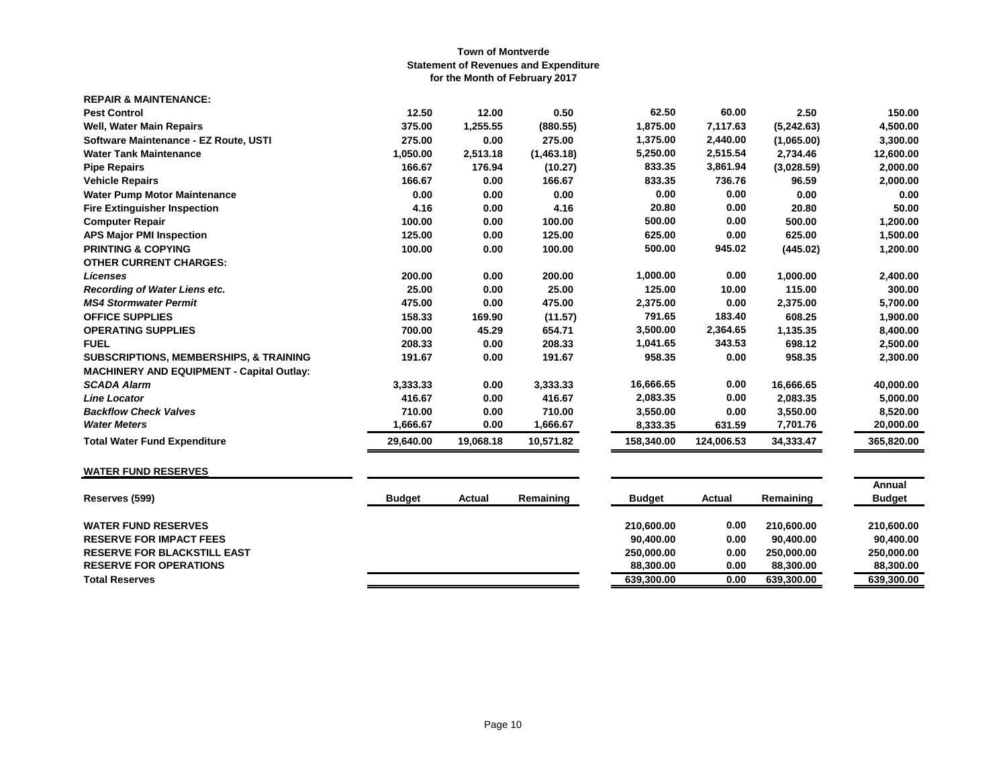| <b>REPAIR &amp; MAINTENANCE:</b>                 |           |           |            |            |            |            |            |
|--------------------------------------------------|-----------|-----------|------------|------------|------------|------------|------------|
| <b>Pest Control</b>                              | 12.50     | 12.00     | 0.50       | 62.50      | 60.00      | 2.50       | 150.00     |
| <b>Well, Water Main Repairs</b>                  | 375.00    | 1,255.55  | (880.55)   | 1,875.00   | 7,117.63   | (5,242.63) | 4,500.00   |
| Software Maintenance - EZ Route, USTI            | 275.00    | 0.00      | 275.00     | 1,375.00   | 2,440.00   | (1,065.00) | 3,300.00   |
| <b>Water Tank Maintenance</b>                    | 1.050.00  | 2,513.18  | (1,463.18) | 5,250.00   | 2,515.54   | 2,734.46   | 12,600.00  |
| <b>Pipe Repairs</b>                              | 166.67    | 176.94    | (10.27)    | 833.35     | 3,861.94   | (3,028.59) | 2,000.00   |
| <b>Vehicle Repairs</b>                           | 166.67    | 0.00      | 166.67     | 833.35     | 736.76     | 96.59      | 2,000.00   |
| <b>Water Pump Motor Maintenance</b>              | 0.00      | 0.00      | 0.00       | 0.00       | 0.00       | 0.00       | 0.00       |
| <b>Fire Extinguisher Inspection</b>              | 4.16      | 0.00      | 4.16       | 20.80      | 0.00       | 20.80      | 50.00      |
| <b>Computer Repair</b>                           | 100.00    | 0.00      | 100.00     | 500.00     | 0.00       | 500.00     | 1,200.00   |
| <b>APS Major PMI Inspection</b>                  | 125.00    | 0.00      | 125.00     | 625.00     | 0.00       | 625.00     | 1,500.00   |
| <b>PRINTING &amp; COPYING</b>                    | 100.00    | 0.00      | 100.00     | 500.00     | 945.02     | (445.02)   | 1,200.00   |
| <b>OTHER CURRENT CHARGES:</b>                    |           |           |            |            |            |            |            |
| <b>Licenses</b>                                  | 200.00    | 0.00      | 200.00     | 1,000.00   | 0.00       | 1,000.00   | 2,400.00   |
| <b>Recording of Water Liens etc.</b>             | 25.00     | 0.00      | 25.00      | 125.00     | 10.00      | 115.00     | 300.00     |
| <b>MS4 Stormwater Permit</b>                     | 475.00    | 0.00      | 475.00     | 2,375.00   | 0.00       | 2,375.00   | 5,700.00   |
| <b>OFFICE SUPPLIES</b>                           | 158.33    | 169.90    | (11.57)    | 791.65     | 183.40     | 608.25     | 1,900.00   |
| <b>OPERATING SUPPLIES</b>                        | 700.00    | 45.29     | 654.71     | 3,500.00   | 2,364.65   | 1,135.35   | 8,400.00   |
| <b>FUEL</b>                                      | 208.33    | 0.00      | 208.33     | 1,041.65   | 343.53     | 698.12     | 2,500.00   |
| SUBSCRIPTIONS, MEMBERSHIPS, & TRAINING           | 191.67    | 0.00      | 191.67     | 958.35     | 0.00       | 958.35     | 2,300.00   |
| <b>MACHINERY AND EQUIPMENT - Capital Outlay:</b> |           |           |            |            |            |            |            |
| <b>SCADA Alarm</b>                               | 3,333.33  | 0.00      | 3,333.33   | 16,666.65  | 0.00       | 16,666.65  | 40,000.00  |
| <b>Line Locator</b>                              | 416.67    | 0.00      | 416.67     | 2,083.35   | 0.00       | 2,083.35   | 5,000.00   |
| <b>Backflow Check Valves</b>                     | 710.00    | 0.00      | 710.00     | 3,550.00   | 0.00       | 3,550.00   | 8,520.00   |
| <b>Water Meters</b>                              | 1,666.67  | 0.00      | 1,666.67   | 8,333.35   | 631.59     | 7,701.76   | 20,000.00  |
| <b>Total Water Fund Expenditure</b>              | 29,640.00 | 19,068.18 | 10,571.82  | 158,340.00 | 124,006.53 | 34,333.47  | 365,820.00 |

# **WATER FUND RESERVES**

| <b>Budget</b> | Actual | Remaining | <b>Budget</b> | Actual | Remaining  | Annual<br><b>Budget</b> |
|---------------|--------|-----------|---------------|--------|------------|-------------------------|
|               |        |           | 210.600.00    | 0.00   | 210.600.00 | 210.600.00              |
|               |        |           | 90.400.00     | 0.00   | 90.400.00  | 90.400.00               |
|               |        |           | 250.000.00    | 0.00   | 250.000.00 | 250.000.00              |
|               |        |           | 88.300.00     | 0.00   | 88,300,00  | 88,300,00               |
|               |        |           | 639,300.00    | 0.00   | 639,300.00 | 639,300.00              |
|               |        |           |               |        |            |                         |